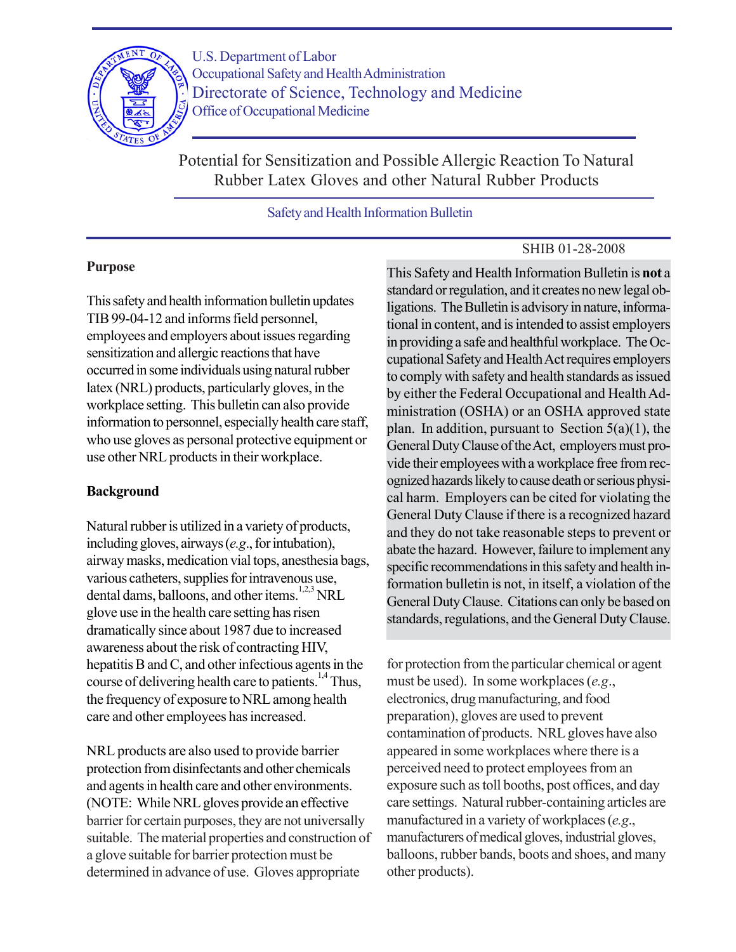

U.S. Department of Labor Occupational Safety and Health Administration Directorate of Science, Technology and Medicine Office of Occupational Medicine

Potential for Sensitization and Possible Allergic Reaction To Natural Rubber Latex Gloves and other Natural Rubber Products

Safety and Health Information Bulletin

# SHIB 01-28-2008

# **Purpose**

This safety and health information bulletin updates TIB 99-04-12 and informs field personnel, employees and employers about issues regarding sensitization and allergic reactions that have occurred in some individuals using natural rubber latex (NRL) products, particularly gloves, in the workplace setting. This bulletin can also provide information to personnel, especially health care staff, who use gloves as personal protective equipment or use other NRL products in their workplace.

# **Background**

Natural rubber is utilized in a variety of products, including gloves, airways (*e.g*., for intubation), airway masks, medication vial tops, anesthesia bags, various catheters, supplies for intravenous use, dental dams, balloons, and other items.<sup>1,2,3</sup> NRL glove use in the health care setting has risen dramatically since about 1987 due to increased awareness about the risk of contracting HIV, hepatitis B and C, and other infectious agents in the course of delivering health care to patients.<sup>1,4</sup> Thus, the frequency of exposure to NRL among health care and other employees has increased.

NRL products are also used to provide barrier protection from disinfectants and other chemicals and agents in health care and other environments. (NOTE: While NRL gloves provide an effective barrier for certain purposes, they are not universally suitable. The material properties and construction of a glove suitable for barrier protection must be determined in advance of use. Gloves appropriate

This Safety and Health Information Bulletin is **not** a standard or regulation, and it creates no new legal obligations. The Bulletin is advisory in nature, informational in content, and is intended to assist employers in providing a safe and healthful workplace. The Occupational Safety and Health Act requires employers to comply with safety and health standards as issued by either the Federal Occupational and Health Administration (OSHA) or an OSHA approved state plan. In addition, pursuant to Section  $5(a)(1)$ , the General Duty Clause of the Act, employers must provide their employees with a workplace free from recognized hazards likely to cause death or serious physical harm. Employers can be cited for violating the General Duty Clause if there is a recognized hazard and they do not take reasonable steps to prevent or abate the hazard. However, failure to implement any specific recommendations in this safety and health information bulletin is not, in itself, a violation of the General Duty Clause. Citations can only be based on standards, regulations, and the General Duty Clause.

for protection from the particular chemical or agent must be used). In some workplaces (*e.g*., electronics, drug manufacturing, and food preparation), gloves are used to prevent contamination of products. NRL gloves have also appeared in some workplaces where there is a perceived need to protect employees from an exposure such as toll booths, post offices, and day care settings. Natural rubber-containing articles are manufactured in a variety of workplaces (*e.g*., manufacturers of medical gloves, industrial gloves, balloons, rubber bands, boots and shoes, and many other products).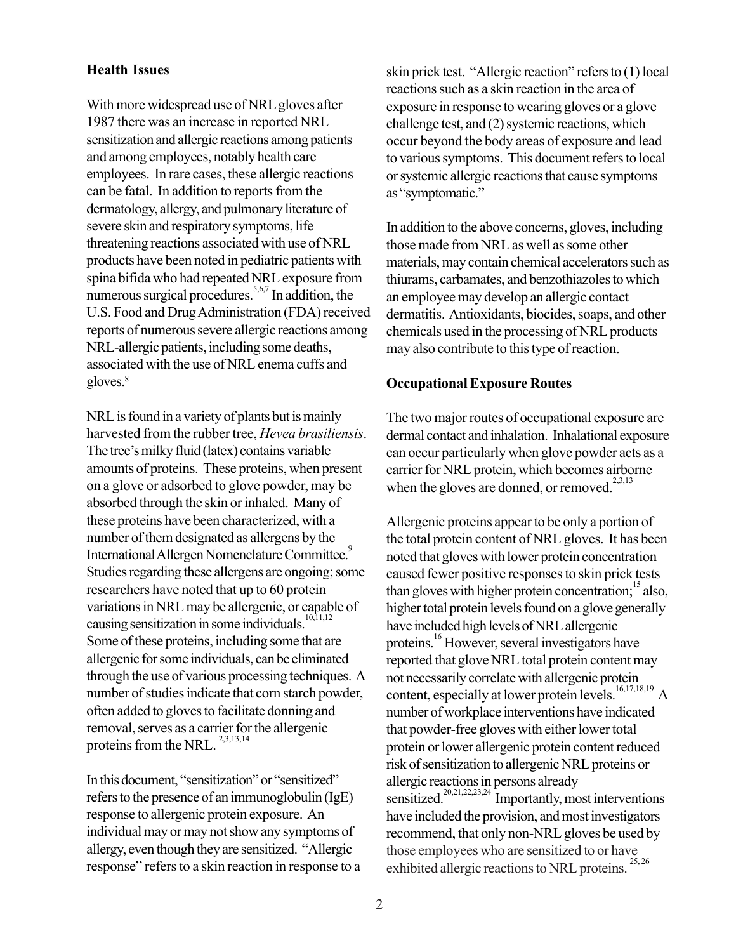## **Health Issues**

With more widespread use of NRL gloves after 1987 there was an increase in reported NRL sensitization and allergic reactions among patients and among employees, notably health care employees. In rare cases, these allergic reactions can be fatal. In addition to reports from the dermatology, allergy, and pulmonary literature of severe skin and respiratory symptoms, life threatening reactions associated with use of NRL products have been noted in pediatric patients with spina bifida who had repeated NRL exposure from numerous surgical procedures.<sup>5,6,7</sup> In addition, the U.S. Food and Drug Administration (FDA) received reports of numerous severe allergic reactions among NRL-allergic patients, including some deaths, associated with the use of NRL enema cuffs and gloves.<sup>8</sup>

NRL is found in a variety of plants but is mainly harvested from the rubber tree, *Hevea brasiliensis*. The tree's milky fluid (latex) contains variable amounts of proteins. These proteins, when present on a glove or adsorbed to glove powder, may be absorbed through the skin or inhaled. Many of these proteins have been characterized, with a number of them designated as allergens by the International Allergen Nomenclature Committee.<sup>9</sup> Studies regarding these allergens are ongoing; some researchers have noted that up to 60 protein variations in NRL may be allergenic, or capable of causing sensitization in some individuals. $10,11,12$ Some of these proteins, including some that are allergenic for some individuals, can be eliminated through the use of various processing techniques. A number of studies indicate that corn starch powder, often added to gloves to facilitate donning and removal, serves as a carrier for the allergenic proteins from the NRL.  $^{2,3,13,14}$ 

In this document, "sensitization" or "sensitized" refers to the presence of an immunoglobulin (IgE) response to allergenic protein exposure. An individual may or may not show any symptoms of allergy, even though they are sensitized. "Allergic response" refers to a skin reaction in response to a skin prick test. "Allergic reaction" refers to (1) local reactions such as a skin reaction in the area of exposure in response to wearing gloves or a glove challenge test, and (2) systemic reactions, which occur beyond the body areas of exposure and lead to various symptoms. This document refers to local or systemic allergic reactions that cause symptoms as "symptomatic."

In addition to the above concerns, gloves, including those made from NRL as well as some other materials, may contain chemical accelerators such as thiurams, carbamates, and benzothiazoles to which an employee may develop an allergic contact dermatitis. Antioxidants, biocides, soaps, and other chemicals used in the processing of NRL products may also contribute to this type of reaction.

## **Occupational Exposure Routes**

The two major routes of occupational exposure are dermal contact and inhalation. Inhalational exposure can occur particularly when glove powder acts as a carrier for NRL protein, which becomes airborne when the gloves are donned, or removed.<sup>2,3,13</sup>

Allergenic proteins appear to be only a portion of the total protein content of NRL gloves. It has been noted that gloves with lower protein concentration caused fewer positive responses to skin prick tests than gloves with higher protein concentration; $15$  also, higher total protein levels found on a glove generally have included high levels of NRL allergenic proteins.16 However, several investigators have reported that glove NRL total protein content may not necessarily correlate with allergenic protein content, especially at lower protein levels.<sup>16,17,18,19</sup> A number of workplace interventions have indicated that powder-free gloves with either lower total protein or lower allergenic protein content reduced risk of sensitization to allergenic NRL proteins or allergic reactions in persons already sensitized.<sup>20,21,22,23,24</sup> Importantly, most interventions have included the provision, and most investigators recommend, that only non-NRL gloves be used by those employees who are sensitized to or have exhibited allergic reactions to NRL proteins.<sup>25, 26</sup>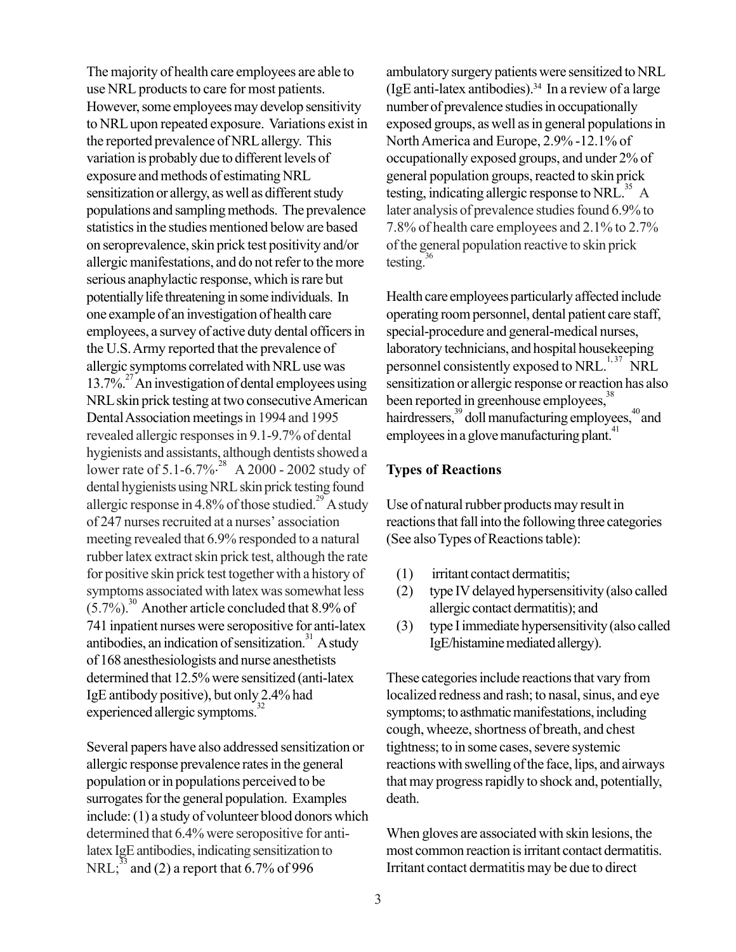The majority of health care employees are able to use NRL products to care for most patients. However, some employees may develop sensitivity to NRL upon repeated exposure. Variations exist in the reported prevalence of NRL allergy. This variation is probably due to different levels of exposure and methods of estimating NRL sensitization or allergy, as well as different study populations and sampling methods. The prevalence statistics in the studies mentioned below are based on seroprevalence, skin prick test positivity and/or allergic manifestations, and do not refer to the more serious anaphylactic response, which is rare but potentially life threatening in some individuals. In one example of an investigation of health care employees, a survey of active duty dental officers in the U.S. Army reported that the prevalence of allergic symptoms correlated with NRL use was  $13.7\%$ <sup>27</sup> An investigation of dental employees using NRL skin prick testing at two consecutive American Dental Association meetings in 1994 and 1995 revealed allergic responses in 9.1-9.7% of dental hygienists and assistants, although dentists showed a lower rate of 5.1-6.7%<sup>28</sup> A 2000 - 2002 study of dental hygienists using NRL skin prick testing found allergic response in 4.8% of those studied.<sup>29</sup> A study of 247 nurses recruited at a nurses' association meeting revealed that 6.9% responded to a natural rubber latex extract skin prick test, although the rate for positive skin prick test together with a history of symptoms associated with latex was somewhat less  $(5.7\%)$ <sup>30</sup> Another article concluded that 8.9% of 741 inpatient nurses were seropositive for anti-latex antibodies, an indication of sensitization.<sup>31</sup> A study of 168 anesthesiologists and nurse anesthetists determined that 12.5% were sensitized (anti-latex IgE antibody positive), but only 2.4% had experienced allergic symptoms.<sup>32</sup>

Several papers have also addressed sensitization or allergic response prevalence rates in the general population or in populations perceived to be surrogates for the general population. Examples include: (1) a study of volunteer blood donors which determined that 6.4% were seropositive for antilatex IgE antibodies, indicating sensitization to NRL;<sup>33</sup> and (2) a report that  $6.7\%$  of 996

ambulatory surgery patients were sensitized to NRL (IgE anti-latex antibodies).<sup>34</sup> In a review of a large number of prevalence studies in occupationally exposed groups, as well as in general populations in North America and Europe, 2.9% -12.1% of occupationally exposed groups, and under 2% of general population groups, reacted to skin prick testing, indicating allergic response to NRL $^{35}$  A later analysis of prevalence studies found 6.9% to 7.8% of health care employees and 2.1% to 2.7% of the general population reactive to skin prick testing. $36$ 

Health care employees particularly affected include operating room personnel, dental patient care staff, special-procedure and general-medical nurses, laboratory technicians, and hospital housekeeping personnel consistently exposed to NRL.<sup>1, 37</sup> NRL sensitization or allergic response or reaction has also been reported in greenhouse employees,<sup>38</sup> hairdressers,<sup>39</sup> doll manufacturing employees,<sup>40</sup> and employees in a glove manufacturing plant.<sup>41</sup>

## **Types of Reactions**

Use of natural rubber products may result in reactions that fall into the following three categories (See also Types of Reactions table):

- (1) irritant contact dermatitis;
- (2) type IV delayed hypersensitivity (also called allergic contact dermatitis); and
- (3) type I immediate hypersensitivity (also called IgE/histamine mediated allergy).

These categories include reactions that vary from localized redness and rash; to nasal, sinus, and eye symptoms; to asthmatic manifestations, including cough, wheeze, shortness of breath, and chest tightness; to in some cases, severe systemic reactions with swelling of the face, lips, and airways that may progress rapidly to shock and, potentially, death.

When gloves are associated with skin lesions, the most common reaction is irritant contact dermatitis. Irritant contact dermatitis may be due to direct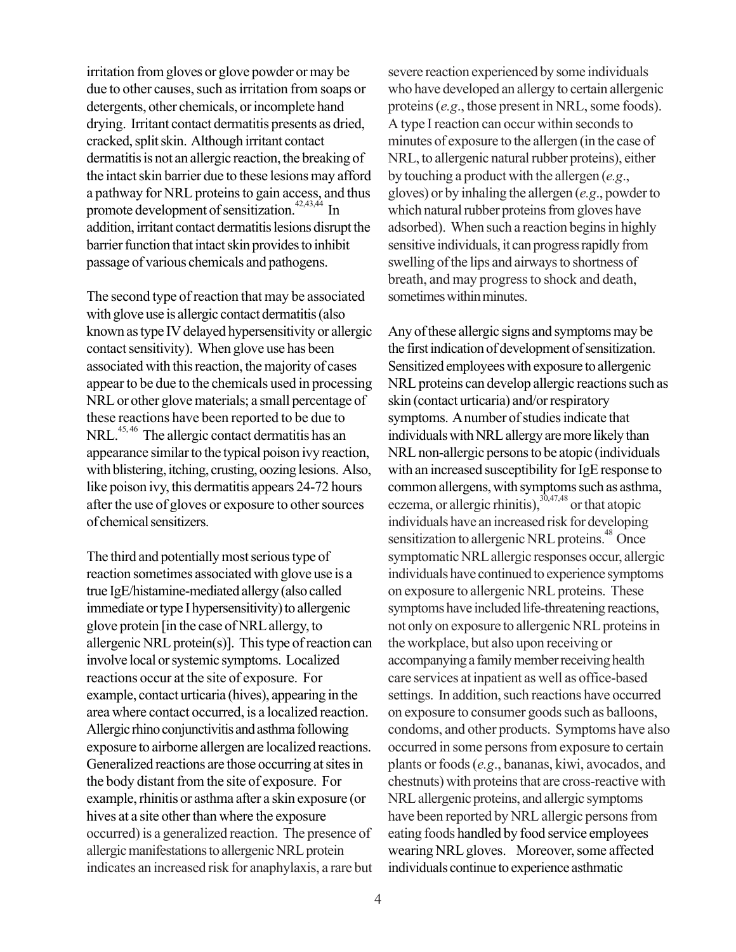irritation from gloves or glove powder or may be due to other causes, such as irritation from soaps or detergents, other chemicals, or incomplete hand drying. Irritant contact dermatitis presents as dried, cracked, split skin. Although irritant contact dermatitis is not an allergic reaction, the breaking of the intact skin barrier due to these lesions may afford a pathway for NRL proteins to gain access, and thus promote development of sensitization.<sup>42,43,44</sup> In addition, irritant contact dermatitis lesions disrupt the barrier function that intact skin provides to inhibit passage of various chemicals and pathogens.

The second type of reaction that may be associated with glove use is allergic contact dermatitis (also known as type IV delayed hypersensitivity or allergic contact sensitivity). When glove use has been associated with this reaction, the majority of cases appear to be due to the chemicals used in processing NRL or other glove materials; a small percentage of these reactions have been reported to be due to NRL.<sup>45, 46</sup> The allergic contact dermatitis has an appearance similar to the typical poison ivy reaction, with blistering, itching, crusting, oozing lesions. Also, like poison ivy, this dermatitis appears 24-72 hours after the use of gloves or exposure to other sources of chemical sensitizers.

The third and potentially most serious type of reaction sometimes associated with glove use is a true IgE/histamine-mediated allergy (also called immediate or type I hypersensitivity) to allergenic glove protein [in the case of NRL allergy, to allergenic NRL protein(s)]. This type of reaction can involve local or systemic symptoms. Localized reactions occur at the site of exposure. For example, contact urticaria (hives), appearing in the area where contact occurred, is a localized reaction. Allergic rhino conjunctivitis and asthma following exposure to airborne allergen are localized reactions. Generalized reactions are those occurring at sites in the body distant from the site of exposure. For example, rhinitis or asthma after a skin exposure (or hives at a site other than where the exposure occurred) is a generalized reaction. The presence of allergic manifestations to allergenic NRL protein indicates an increased risk for anaphylaxis, a rare but severe reaction experienced by some individuals who have developed an allergy to certain allergenic proteins (*e.g*., those present in NRL, some foods). A type I reaction can occur within seconds to minutes of exposure to the allergen (in the case of NRL, to allergenic natural rubber proteins), either by touching a product with the allergen (*e.g*., gloves) or by inhaling the allergen (*e.g*., powder to which natural rubber proteins from gloves have adsorbed). When such a reaction begins in highly sensitive individuals, it can progress rapidly from swelling of the lips and airways to shortness of breath, and may progress to shock and death, sometimes within minutes.

Any of these allergic signs and symptoms may be the first indication of development of sensitization. Sensitized employees with exposure to allergenic NRL proteins can develop allergic reactions such as skin (contact urticaria) and/or respiratory symptoms. A number of studies indicate that individuals with NRL allergy are more likely than NRL non-allergic persons to be atopic (individuals with an increased susceptibility for IgE response to common allergens, with symptoms such as asthma, eczema, or allergic rhinitis), $30,47,48$  or that atopic individuals have an increased risk for developing sensitization to allergenic NRL proteins.<sup>48</sup> Once symptomatic NRL allergic responses occur, allergic individuals have continued to experience symptoms on exposure to allergenic NRL proteins. These symptoms have included life-threatening reactions, not only on exposure to allergenic NRL proteins in the workplace, but also upon receiving or accompanying a family member receiving health care services at inpatient as well as office-based settings. In addition, such reactions have occurred on exposure to consumer goods such as balloons, condoms, and other products. Symptoms have also occurred in some persons from exposure to certain plants or foods (*e.g*., bananas, kiwi, avocados, and chestnuts) with proteins that are cross-reactive with NRL allergenic proteins, and allergic symptoms have been reported by NRL allergic persons from eating foods handled by food service employees wearing NRL gloves. Moreover, some affected individuals continue to experience asthmatic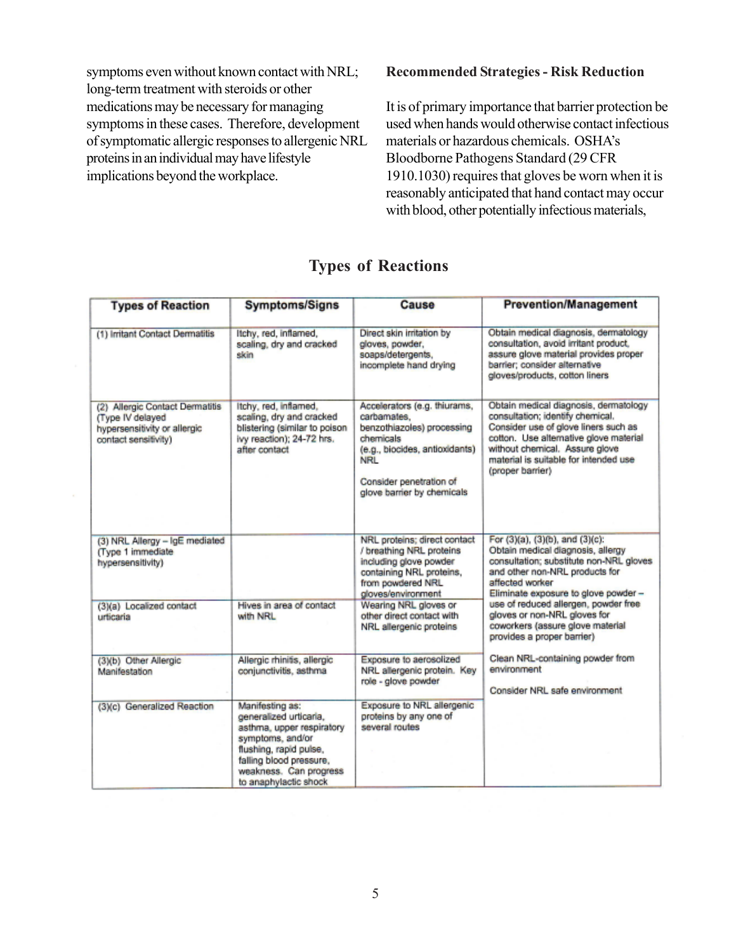symptoms even without known contact with NRL; long-term treatment with steroids or other medications may be necessary for managing symptoms in these cases. Therefore, development of symptomatic allergic responses to allergenic NRL proteins in an individual may have lifestyle implications beyond the workplace.

#### **Recommended Strategies - Risk Reduction**

It is of primary importance that barrier protection be used when hands would otherwise contact infectious materials or hazardous chemicals. OSHA's Bloodborne Pathogens Standard (29 CFR 1910.1030) requires that gloves be worn when it is reasonably anticipated that hand contact may occur with blood, other potentially infectious materials,

| <b>Types of Reaction</b>                                                                                    | <b>Symptoms/Signs</b>                                                                                                                                                                              | Cause                                                                                                                                                                                           | <b>Prevention/Management</b>                                                                                                                                                                                                                               |
|-------------------------------------------------------------------------------------------------------------|----------------------------------------------------------------------------------------------------------------------------------------------------------------------------------------------------|-------------------------------------------------------------------------------------------------------------------------------------------------------------------------------------------------|------------------------------------------------------------------------------------------------------------------------------------------------------------------------------------------------------------------------------------------------------------|
| (1) Irritant Contact Dermatitis                                                                             | ltchy, red, inflamed,<br>scaling, dry and cracked<br>skin                                                                                                                                          | Direct skin irritation by<br>gloves, powder,<br>soaps/detergents,<br>incomplete hand drying                                                                                                     | Obtain medical diagnosis, dermatology<br>consultation, avoid irritant product,<br>assure glove material provides proper<br>barrier: consider alternative<br>gloves/products, cotton liners                                                                 |
| (2) Allergic Contact Dermatitis<br>(Type IV delayed<br>hypersensitivity or allergic<br>contact sensitivity) | Itchy, red, inflamed,<br>scaling, dry and cracked<br>blistering (similar to poison<br>ivy reaction); 24-72 hrs.<br>after contact                                                                   | Accelerators (e.g. thiurams,<br>carbamates.<br>benzothiazoles) processing<br>chemicals<br>(e.g., biocides, antioxidants)<br><b>NRL</b><br>Consider penetration of<br>glove barrier by chemicals | Obtain medical diagnosis, dermatology<br>consultation; identify chemical.<br>Consider use of glove liners such as<br>cotton. Use alternative glove material<br>without chemical. Assure glove<br>material is suitable for intended use<br>(proper barrier) |
| (3) NRL Allergy - IgE mediated<br>(Type 1 immediate<br>hypersensitivity)                                    |                                                                                                                                                                                                    | NRL proteins: direct contact<br>/ breathing NRL proteins<br>including glove powder<br>containing NRL proteins,<br>from powdered NRL<br>gloves/environment                                       | For (3)(a), (3)(b), and (3)(c):<br>Obtain medical diagnosis, allergy<br>consultation; substitute non-NRL gloves<br>and other non-NRL products for<br>affected worker<br>Eliminate exposure to glove powder -                                               |
| (3)(a) Localized contact<br>urticaria                                                                       | Hives in area of contact<br>with NRL                                                                                                                                                               | Wearing NRL gloves or<br>other direct contact with<br>NRL allergenic proteins                                                                                                                   | use of reduced allergen, powder free<br>gloves or non-NRL gloves for<br>coworkers (assure glove material<br>provides a proper barrier)                                                                                                                     |
| (3)(b) Other Allergic<br>Manifestation                                                                      | Allergic rhinitis, allergic<br>conjunctivitis, asthma                                                                                                                                              | Exposure to aerosolized<br>NRL allergenic protein. Key<br>role - glove powder                                                                                                                   | Clean NRL-containing powder from<br>environment<br>Consider NRL safe environment                                                                                                                                                                           |
| (3)(c) Generalized Reaction                                                                                 | Manifesting as:<br>generalized urticaria.<br>asthma, upper respiratory<br>symptoms, and/or<br>flushing, rapid pulse,<br>falling blood pressure,<br>weakness. Can progress<br>to anaphylactic shock | Exposure to NRL allergenic<br>proteins by any one of<br>several routes                                                                                                                          |                                                                                                                                                                                                                                                            |

# **Types of Reactions**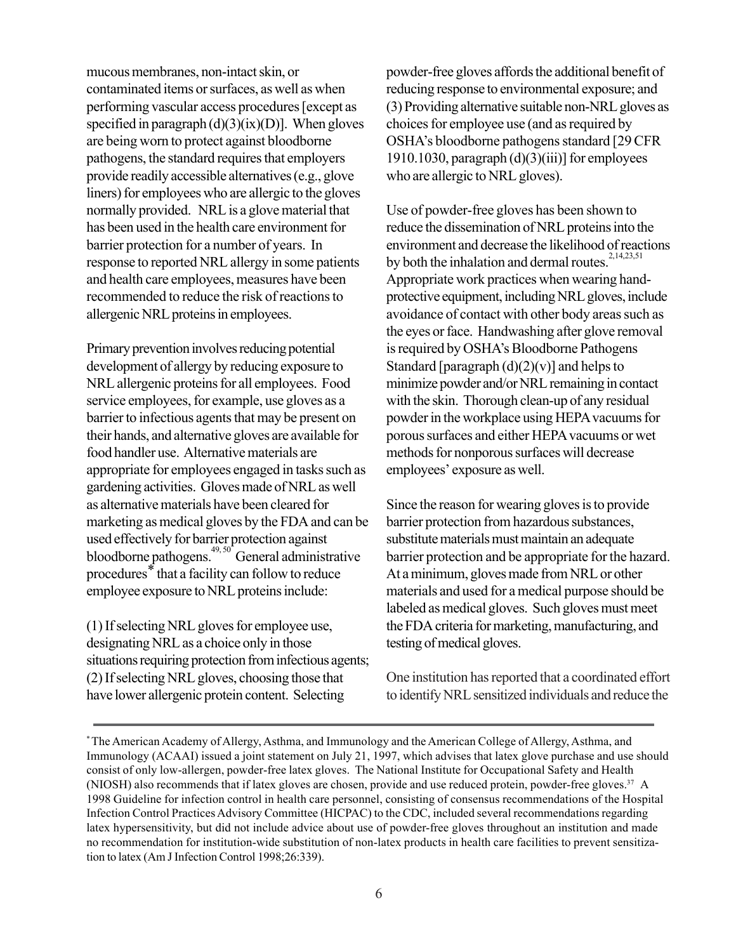mucous membranes, non-intact skin, or contaminated items or surfaces, as well as when performing vascular access procedures [except as specified in paragraph  $(d)(3)(ix)(D)$ ]. When gloves are being worn to protect against bloodborne pathogens, the standard requires that employers provide readily accessible alternatives (e.g., glove liners) for employees who are allergic to the gloves normally provided. NRL is a glove material that has been used in the health care environment for barrier protection for a number of years. In response to reported NRL allergy in some patients and health care employees, measures have been recommended to reduce the risk of reactions to allergenic NRL proteins in employees.

Primary prevention involves reducing potential development of allergy by reducing exposure to NRL allergenic proteins for all employees. Food service employees, for example, use gloves as a barrier to infectious agents that may be present on their hands, and alternative gloves are available for food handler use. Alternative materials are appropriate for employees engaged in tasks such as gardening activities. Gloves made of NRL as well as alternative materials have been cleared for marketing as medical gloves by the FDA and can be used effectively for barrier protection against bloodborne pathogens.<sup>49, 50</sup> General administrative procedures\* that a facility can follow to reduce employee exposure to NRL proteins include:

(1) If selecting NRL gloves for employee use, designating NRL as a choice only in those situations requiring protection from infectious agents; (2) If selecting NRL gloves, choosing those that have lower allergenic protein content. Selecting

powder-free gloves affords the additional benefit of reducing response to environmental exposure; and (3) Providing alternative suitable non-NRL gloves as choices for employee use (and as required by OSHA's bloodborne pathogens standard [29 CFR 1910.1030, paragraph  $(d)(3)(iii)$ ] for employees who are allergic to NRL gloves).

Use of powder-free gloves has been shown to reduce the dissemination of NRL proteins into the environment and decrease the likelihood of reactions by both the inhalation and dermal routes. $2,14,23,51$ Appropriate work practices when wearing handprotective equipment, including NRL gloves, include avoidance of contact with other body areas such as the eyes or face. Handwashing after glove removal is required by OSHA's Bloodborne Pathogens Standard [paragraph  $(d)(2)(v)$ ] and helps to minimize powder and/or NRL remaining in contact with the skin. Thorough clean-up of any residual powder in the workplace using HEPA vacuums for porous surfaces and either HEPA vacuums or wet methods for nonporous surfaces will decrease employees' exposure as well.

Since the reason for wearing gloves is to provide barrier protection from hazardous substances, substitute materials must maintain an adequate barrier protection and be appropriate for the hazard. At a minimum, gloves made from NRL or other materials and used for a medical purpose should be labeled as medical gloves. Such gloves must meet the FDA criteria for marketing, manufacturing, and testing of medical gloves.

One institution has reported that a coordinated effort to identify NRL sensitized individuals and reduce the

<sup>\*</sup> The American Academy of Allergy, Asthma, and Immunology and the American College of Allergy, Asthma, and Immunology (ACAAI) issued a joint statement on July 21, 1997, which advises that latex glove purchase and use should consist of only low-allergen, powder-free latex gloves. The National Institute for Occupational Safety and Health (NIOSH) also recommends that if latex gloves are chosen, provide and use reduced protein, powder-free gloves.<sup>37</sup> A 1998 Guideline for infection control in health care personnel, consisting of consensus recommendations of the Hospital Infection Control Practices Advisory Committee (HICPAC) to the CDC, included several recommendations regarding latex hypersensitivity, but did not include advice about use of powder-free gloves throughout an institution and made no recommendation for institution-wide substitution of non-latex products in health care facilities to prevent sensitization to latex (Am J Infection Control 1998;26:339).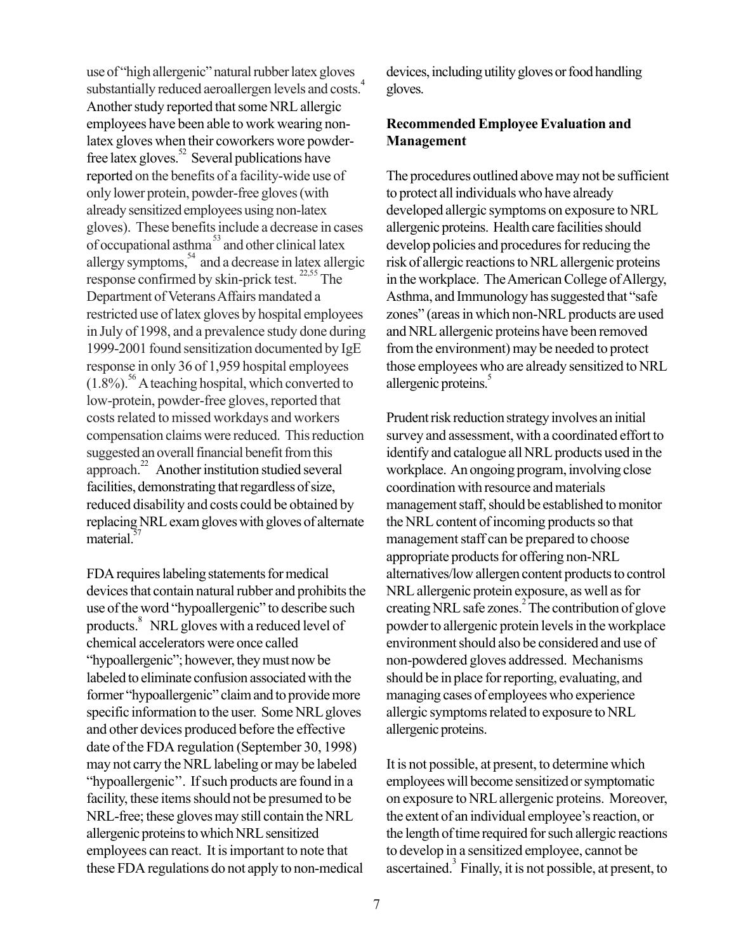use of "high allergenic" natural rubber latex gloves substantially reduced aeroallergen levels and costs.<sup>4</sup> Another study reported that some NRL allergic employees have been able to work wearing nonlatex gloves when their coworkers wore powderfree latex gloves. $52$  Several publications have reported on the benefits of a facility-wide use of only lower protein, powder-free gloves (with already sensitized employees using non-latex gloves). These benefits include a decrease in cases of occupational asthma<sup>53</sup> and other clinical latex allergy symptoms, $\frac{54}{9}$  and a decrease in latex allergic response confirmed by skin-prick test.  $^{22,55}$  The Department of Veterans Affairs mandated a restricted use of latex gloves by hospital employees in July of 1998, and a prevalence study done during 1999-2001 found sensitization documented by IgE response in only 36 of 1,959 hospital employees  $(1.8\%)$ <sup>56</sup> A teaching hospital, which converted to low-protein, powder-free gloves, reported that costs related to missed workdays and workers compensation claims were reduced. This reduction suggested an overall financial benefit from this approach.22 Another institution studied several facilities, demonstrating that regardless of size, reduced disability and costs could be obtained by replacing NRL exam gloves with gloves of alternate material.<sup>5</sup>

FDA requires labeling statements for medical devices that contain natural rubber and prohibits the use of the word "hypoallergenic" to describe such products.<sup>8</sup> NRL gloves with a reduced level of chemical accelerators were once called "hypoallergenic"; however, they must now be labeled to eliminate confusion associated with the former "hypoallergenic" claim and to provide more specific information to the user. Some NRL gloves and other devices produced before the effective date of the FDA regulation (September 30, 1998) may not carry the NRL labeling or may be labeled "hypoallergenic''. If such products are found in a facility, these items should not be presumed to be NRL-free; these gloves may still contain the NRL allergenic proteins to which NRL sensitized employees can react. It is important to note that these FDA regulations do not apply to non-medical

devices, including utility gloves or food handling gloves.

# **Recommended Employee Evaluation and Management**

The procedures outlined above may not be sufficient to protect all individuals who have already developed allergic symptoms on exposure to NRL allergenic proteins. Health care facilities should develop policies and procedures for reducing the risk of allergic reactions to NRL allergenic proteins in the workplace. The American College of Allergy, Asthma, and Immunology has suggested that "safe zones" (areas in which non-NRL products are used and NRL allergenic proteins have been removed from the environment) may be needed to protect those employees who are already sensitized to NRL allergenic proteins.<sup>5</sup>

Prudent risk reduction strategy involves an initial survey and assessment, with a coordinated effort to identify and catalogue all NRL products used in the workplace. An ongoing program, involving close coordination with resource and materials management staff, should be established to monitor the NRL content of incoming products so that management staff can be prepared to choose appropriate products for offering non-NRL alternatives/low allergen content products to control NRL allergenic protein exposure, as well as for creating NRL safe zones.<sup>2</sup> The contribution of glove powder to allergenic protein levels in the workplace environment should also be considered and use of non-powdered gloves addressed. Mechanisms should be in place for reporting, evaluating, and managing cases of employees who experience allergic symptoms related to exposure to NRL allergenic proteins.

It is not possible, at present, to determine which employees will become sensitized or symptomatic on exposure to NRL allergenic proteins. Moreover, the extent of an individual employee's reaction, or the length of time required for such allergic reactions to develop in a sensitized employee, cannot be ascertained.<sup>3</sup> Finally, it is not possible, at present, to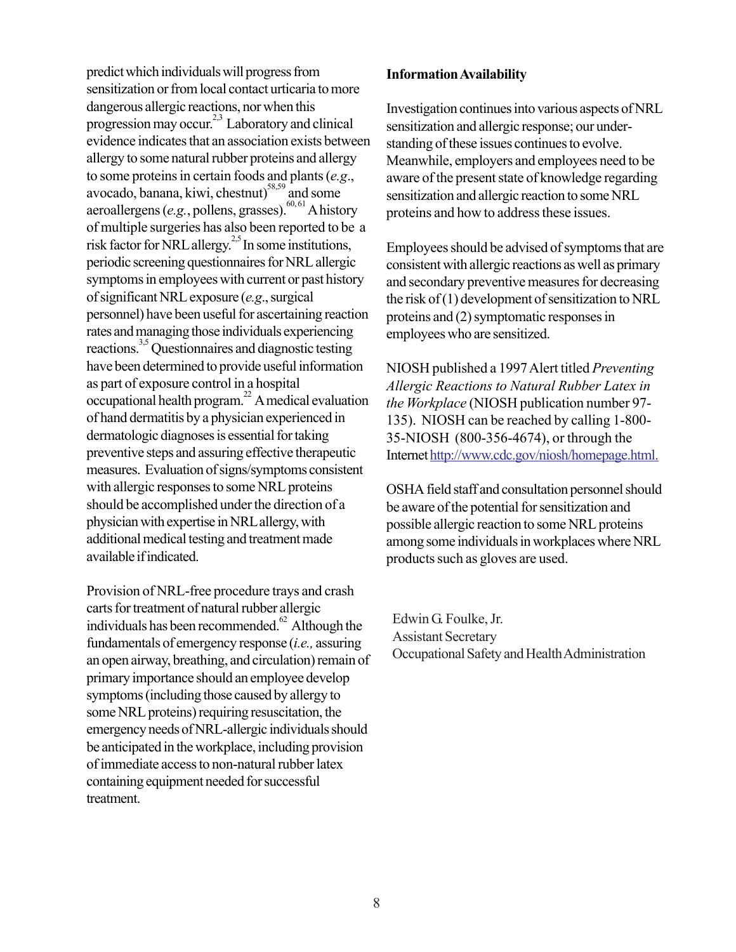predict which individuals will progress from sensitization or from local contact urticaria to more dangerous allergic reactions, nor when this progression may occur.<sup>2,3</sup> Laboratory and clinical evidence indicates that an association exists between allergy to some natural rubber proteins and allergy to some proteins in certain foods and plants (*e.g*., avocado, banana, kiwi, chestnut)<sup>58,59</sup> and some aeroallergens (*e.g.*, pollens, grasses).<sup>60, 61</sup> A history of multiple surgeries has also been reported to be a risk factor for NRL allergy.<sup>2,5</sup> In some institutions, periodic screening questionnaires for NRL allergic symptoms in employees with current or past history of significant NRL exposure (*e.g*., surgical personnel) have been useful for ascertaining reaction rates and managing those individuals experiencing reactions.3,5 Questionnaires and diagnostic testing have been determined to provide useful information as part of exposure control in a hospital occupational health program.<sup>22</sup> A medical evaluation of hand dermatitis by a physician experienced in dermatologic diagnoses is essential for taking preventive steps and assuring effective therapeutic measures. Evaluation of signs/symptoms consistent with allergic responses to some NRL proteins should be accomplished under the direction of a physician with expertise in NRL allergy, with additional medical testing and treatment made available if indicated.

Provision of NRL-free procedure trays and crash carts for treatment of natural rubber allergic individuals has been recommended.<sup>62</sup> Although the fundamentals of emergency response (*i.e.,* assuring an open airway, breathing, and circulation) remain of primary importance should an employee develop symptoms (including those caused by allergy to some NRL proteins) requiring resuscitation, the emergency needs of NRL-allergic individuals should be anticipated in the workplace, including provision of immediate access to non-natural rubber latex containing equipment needed for successful treatment.

## **Information Availability**

Investigation continues into various aspects of NRL sensitization and allergic response; our understanding of these issues continues to evolve. Meanwhile, employers and employees need to be aware of the present state of knowledge regarding sensitization and allergic reaction to some NRL proteins and how to address these issues.

Employees should be advised of symptoms that are consistent with allergic reactions as well as primary and secondary preventive measures for decreasing the risk of (1) development of sensitization to NRL proteins and (2) symptomatic responses in employees who are sensitized.

NIOSH published a 1997 Alert titled *Preventing Allergic Reactions to Natural Rubber Latex in the Workplace* (NIOSH publication number 97- 135). NIOSH can be reached by calling 1-800- 35-NIOSH (800-356-4674), or through the Internet http://www.cdc.gov/niosh/homepage.html.

OSHA field staff and consultation personnel should be aware of the potential for sensitization and possible allergic reaction to some NRL proteins among some individuals in workplaces where NRL products such as gloves are used.

Edwin G. Foulke, Jr. Assistant Secretary Occupational Safety and Health Administration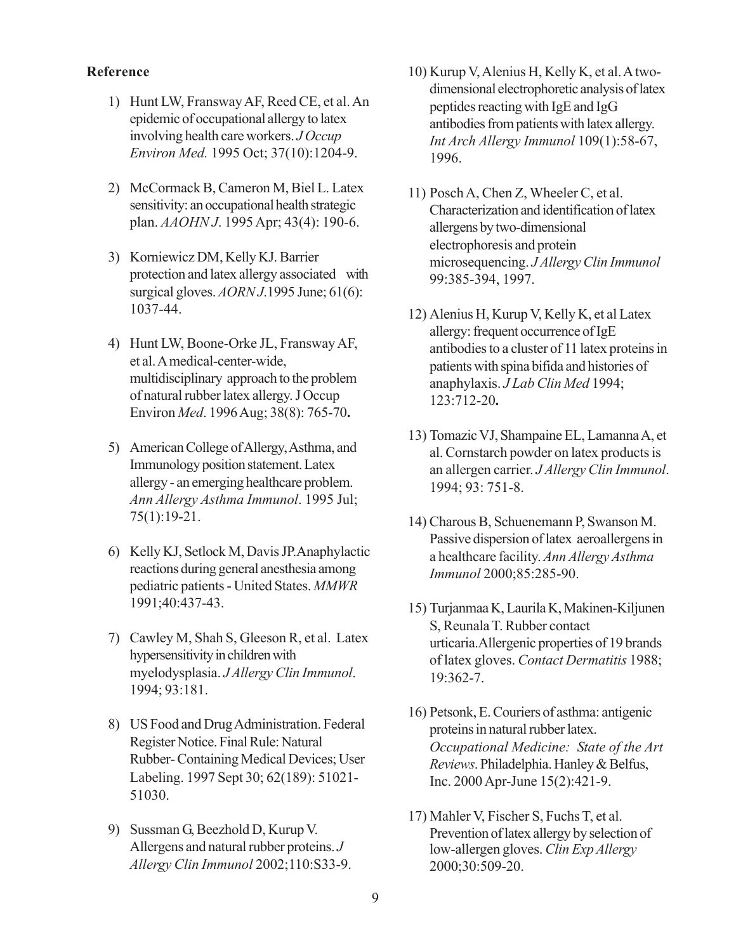#### **Reference**

- 1) Hunt LW, Fransway AF, Reed CE, et al. An epidemic of occupational allergy to latex involving health care workers. *J Occup Environ Med.* 1995 Oct; 37(10):1204-9.
- 2) McCormack B, Cameron M, Biel L. Latex sensitivity: an occupational health strategic plan. *AAOHN J*. 1995 Apr; 43(4): 190-6.
- 3) Korniewicz DM, Kelly KJ. Barrier protection and latex allergy associated with surgical gloves. *AORN J*.1995 June; 61(6): 1037-44.
- 4) Hunt LW, Boone-Orke JL, Fransway AF, et al. A medical-center-wide, multidisciplinary approach to the problem of natural rubber latex allergy. J Occup Environ *Med*. 1996 Aug; 38(8): 765-70**.**
- 5) American College of Allergy, Asthma, and Immunology position statement. Latex allergy - an emerging healthcare problem. *Ann Allergy Asthma Immunol*. 1995 Jul; 75(1):19-21.
- 6) Kelly KJ, Setlock M, Davis JP.Anaphylactic reactions during general anesthesia among pediatric patients - United States. *MMWR* 1991;40:437-43.
- 7) Cawley M, Shah S, Gleeson R, et al. Latex hypersensitivity in children with myelodysplasia. *J Allergy Clin Immunol*. 1994; 93:181.
- 8) US Food and Drug Administration. Federal Register Notice. Final Rule: Natural Rubber- Containing Medical Devices; User Labeling. 1997 Sept 30; 62(189): 51021- 51030.
- 9) Sussman G, Beezhold D, Kurup V. Allergens and natural rubber proteins. *J Allergy Clin Immunol* 2002;110:S33-9.
- 10) Kurup V, Alenius H, Kelly K, et al. A twodimensional electrophoretic analysis of latex peptides reacting with IgE and IgG antibodies from patients with latex allergy. *Int Arch Allergy Immunol* 109(1):58-67, 1996.
- 11) Posch A, Chen Z, Wheeler C, et al. Characterization and identification of latex allergens by two-dimensional electrophoresis and protein microsequencing. *J Allergy Clin Immunol* 99:385-394, 1997.
- 12) Alenius H, Kurup V, Kelly K, et al Latex allergy: frequent occurrence of IgE antibodies to a cluster of 11 latex proteins in patients with spina bifida and histories of anaphylaxis. *J Lab Clin Med* 1994; 123:712-20**.**
- 13) Tomazic VJ, Shampaine EL, Lamanna A, et al. Cornstarch powder on latex products is an allergen carrier. *J Allergy Clin Immunol*. 1994; 93: 751-8.
- 14) Charous B, Schuenemann P, Swanson M. Passive dispersion of latex aeroallergens in a healthcare facility. *Ann Allergy Asthma Immunol* 2000;85:285-90.
- 15) Turjanmaa K, Laurila K, Makinen-Kiljunen S, Reunala T. Rubber contact urticaria.Allergenic properties of 19 brands of latex gloves. *Contact Dermatitis* 1988; 19:362-7.
- 16) Petsonk, E. Couriers of asthma: antigenic proteins in natural rubber latex. *Occupational Medicine: State of the Art Reviews*. Philadelphia. Hanley & Belfus, Inc. 2000 Apr-June 15(2):421-9.
- 17) Mahler V, Fischer S, Fuchs T, et al. Prevention of latex allergy by selection of low-allergen gloves. *Clin Exp Allergy* 2000;30:509-20.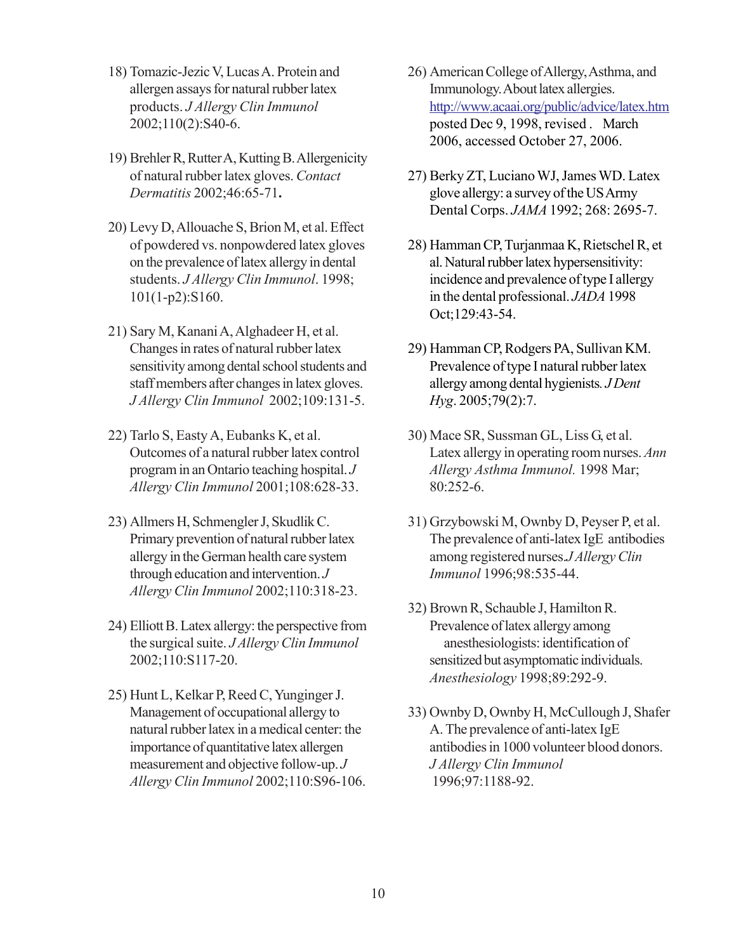- 18) Tomazic-Jezic V, Lucas A. Protein and allergen assays for natural rubber latex products. *J Allergy Clin Immunol* 2002;110(2):S40-6.
- 19) Brehler R, Rutter A, Kutting B. Allergenicity of natural rubber latex gloves. *Contact Dermatitis* 2002;46:65-71**.**
- 20) Levy D, Allouache S, Brion M, et al. Effect of powdered vs. nonpowdered latex gloves on the prevalence of latex allergy in dental students. *J Allergy Clin Immunol*. 1998; 101(1-p2):S160.
- 21) Sary M, Kanani A, Alghadeer H, et al. Changes in rates of natural rubber latex sensitivity among dental school students and staff members after changes in latex gloves. *J Allergy Clin Immunol* 2002;109:131-5.
- 22) Tarlo S, Easty A, Eubanks K, et al. Outcomes of a natural rubber latex control program in an Ontario teaching hospital. *J Allergy Clin Immunol* 2001;108:628-33.
- 23) Allmers H, Schmengler J, Skudlik C. Primary prevention of natural rubber latex allergy in the German health care system through education and intervention. *J Allergy Clin Immunol* 2002;110:318-23.
- 24) Elliott B. Latex allergy: the perspective from the surgical suite. *J Allergy Clin Immunol* 2002;110:S117-20.
- 25) Hunt L, Kelkar P, Reed C, Yunginger J. Management of occupational allergy to natural rubber latex in a medical center: the importance of quantitative latex allergen measurement and objective follow-up. *J Allergy Clin Immunol* 2002;110:S96-106.
- 26) American College of Allergy, Asthma, and Immunology. About latex allergies. http://www.acaai.org/public/advice/latex.htm posted Dec 9, 1998, revised . March 2006, accessed October 27, 2006.
- 27) Berky ZT, Luciano WJ, James WD. Latex glove allergy: a survey of the US Army Dental Corps. *JAMA* 1992; 268: 2695-7.
- 28) Hamman CP, Turjanmaa K, Rietschel R, et al. Natural rubber latex hypersensitivity: incidence and prevalence of type I allergy in the dental professional. *JADA* 1998 Oct;129:43-54.
- 29) Hamman CP, Rodgers PA, Sullivan KM. Prevalence of type I natural rubber latex allergy among dental hygienists*. J Dent Hyg*. 2005;79(2):7.
- 30) Mace SR, Sussman GL, Liss G, et al. Latex allergy in operating room nurses. *Ann Allergy Asthma Immunol.* 1998 Mar; 80:252-6.
- 31) Grzybowski M, Ownby D, Peyser P, et al. The prevalence of anti-latex IgE antibodies among registered nurses.*J Allergy Clin Immunol* 1996;98:535-44.
- 32) Brown R, Schauble J, Hamilton R. Prevalence of latex allergy among anesthesiologists: identification of sensitized but asymptomatic individuals. *Anesthesiology* 1998;89:292-9.
- 33) Ownby D, Ownby H, McCullough J, Shafer A. The prevalence of anti-latex IgE antibodies in 1000 volunteer blood donors. *J Allergy Clin Immunol* 1996;97:1188-92.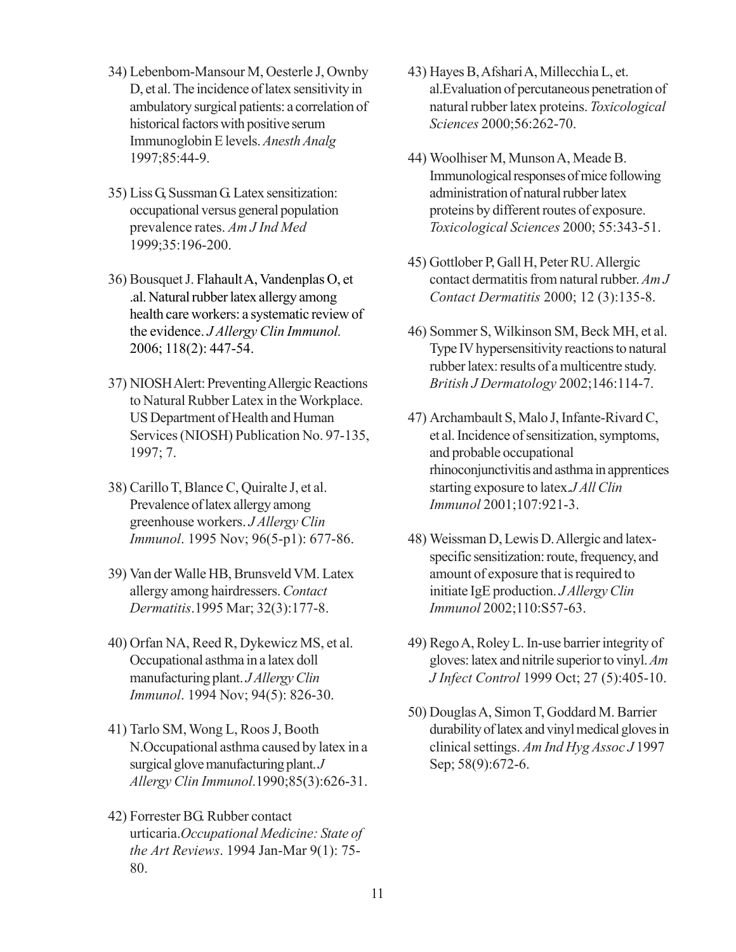- 34) Lebenbom-Mansour M, Oesterle J, Ownby D, et al. The incidence of latex sensitivity in ambulatory surgical patients: a correlation of historical factors with positive serum Immunoglobin E levels. *Anesth Analg* 1997;85:44-9.
- 35) Liss G, Sussman G. Latex sensitization: occupational versus general population prevalence rates. *Am J Ind Med* 1999;35:196-200.
- 36) Bousquet J. Flahault A, Vandenplas O, et .al. Natural rubber latex allergy among health care workers: a systematic review of the evidence. *J Allergy Clin Immunol.* 2006; 118(2): 447-54.
- 37) NIOSH Alert: Preventing Allergic Reactions to Natural Rubber Latex in the Workplace. US Department of Health and Human Services (NIOSH) Publication No. 97-135, 1997; 7.
- 38) Carillo T, Blance C, Quiralte J, et al. Prevalence of latex allergy among greenhouse workers. *J Allergy Clin Immunol*. 1995 Nov; 96(5-p1): 677-86.
- 39) Van der Walle HB, Brunsveld VM. Latex allergy among hairdressers. *Contact Dermatitis*.1995 Mar; 32(3):177-8.
- 40) Orfan NA, Reed R, Dykewicz MS, et al. Occupational asthma in a latex doll manufacturing plant. *J Allergy Clin Immunol*. 1994 Nov; 94(5): 826-30.
- 41) Tarlo SM, Wong L, Roos J, Booth N.Occupational asthma caused by latex in a surgical glove manufacturing plant. *J Allergy Clin Immunol*.1990;85(3):626-31.
- 42) Forrester BG. Rubber contact urticaria.*Occupational Medicine: State of the Art Reviews*. 1994 Jan-Mar 9(1): 75- 80.
- 43) Hayes B, Afshari A, Millecchia L, et. al.Evaluation of percutaneous penetration of natural rubber latex proteins. *Toxicological Sciences* 2000;56:262-70.
- 44) Woolhiser M, Munson A, Meade B. Immunological responses of mice following administration of natural rubber latex proteins by different routes of exposure. *Toxicological Sciences* 2000; 55:343-51.
- 45) Gottlober P, Gall H, Peter RU. Allergic contact dermatitis from natural rubber. *Am J Contact Dermatitis* 2000; 12 (3):135-8.
- 46) Sommer S, Wilkinson SM, Beck MH, et al. Type IV hypersensitivity reactions to natural rubber latex: results of a multicentre study. *British J Dermatology* 2002;146:114-7.
- 47) Archambault S, Malo J, Infante-Rivard C, et al. Incidence of sensitization, symptoms, and probable occupational rhinoconjunctivitis and asthma in apprentices starting exposure to latex.*J All Clin Immunol* 2001;107:921-3.
- 48) Weissman D, Lewis D. Allergic and latexspecific sensitization: route, frequency, and amount of exposure that is required to initiate IgE production. *J Allergy Clin Immunol* 2002;110:S57-63.
- 49) Rego A, Roley L. In-use barrier integrity of gloves: latex and nitrile superior to vinyl. *Am J Infect Control* 1999 Oct; 27 (5):405-10.
- 50) Douglas A, Simon T, Goddard M. Barrier durability of latex and vinyl medical gloves in clinical settings. *Am Ind Hyg Assoc J* 1997 Sep; 58(9):672-6.